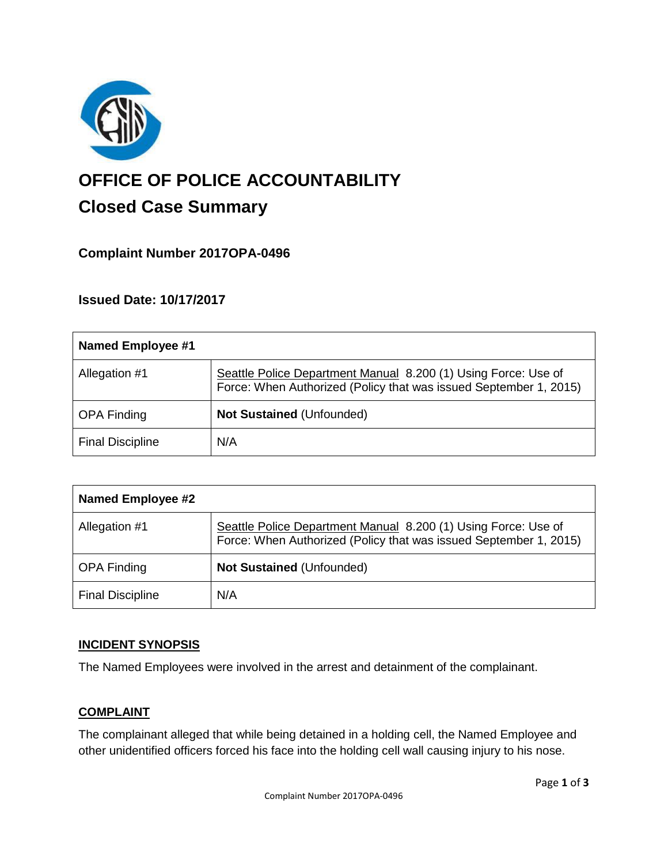

# **OFFICE OF POLICE ACCOUNTABILITY**

# **Closed Case Summary**

## **Complaint Number 2017OPA-0496**

### **Issued Date: 10/17/2017**

| <b>Named Employee #1</b> |                                                                                                                                     |
|--------------------------|-------------------------------------------------------------------------------------------------------------------------------------|
| Allegation #1            | Seattle Police Department Manual 8.200 (1) Using Force: Use of<br>Force: When Authorized (Policy that was issued September 1, 2015) |
| <b>OPA Finding</b>       | <b>Not Sustained (Unfounded)</b>                                                                                                    |
| <b>Final Discipline</b>  | N/A                                                                                                                                 |

| <b>Named Employee #2</b> |                                                                                                                                     |
|--------------------------|-------------------------------------------------------------------------------------------------------------------------------------|
| Allegation #1            | Seattle Police Department Manual 8.200 (1) Using Force: Use of<br>Force: When Authorized (Policy that was issued September 1, 2015) |
| <b>OPA Finding</b>       | <b>Not Sustained (Unfounded)</b>                                                                                                    |
| <b>Final Discipline</b>  | N/A                                                                                                                                 |

#### **INCIDENT SYNOPSIS**

The Named Employees were involved in the arrest and detainment of the complainant.

#### **COMPLAINT**

The complainant alleged that while being detained in a holding cell, the Named Employee and other unidentified officers forced his face into the holding cell wall causing injury to his nose.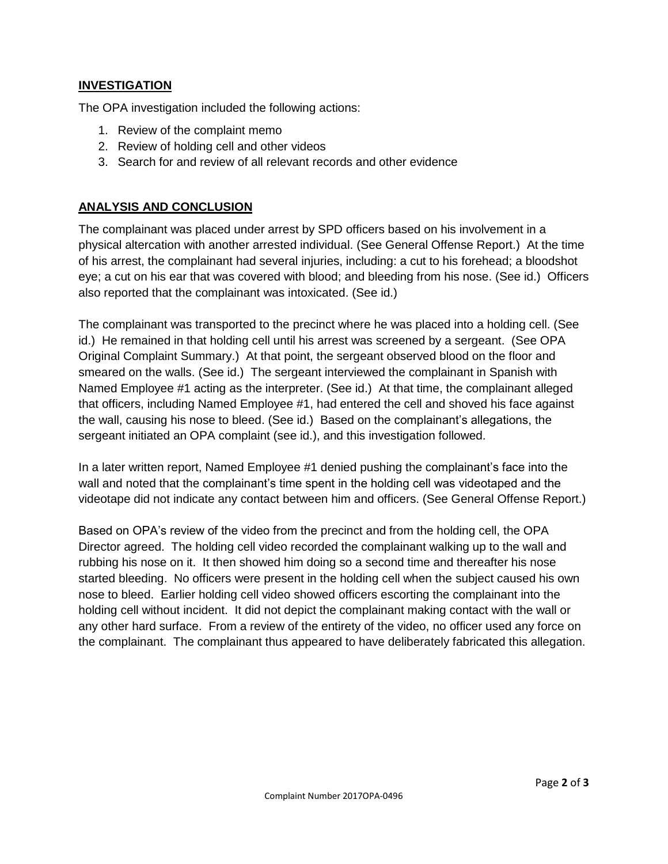#### **INVESTIGATION**

The OPA investigation included the following actions:

- 1. Review of the complaint memo
- 2. Review of holding cell and other videos
- 3. Search for and review of all relevant records and other evidence

#### **ANALYSIS AND CONCLUSION**

The complainant was placed under arrest by SPD officers based on his involvement in a physical altercation with another arrested individual. (See General Offense Report.) At the time of his arrest, the complainant had several injuries, including: a cut to his forehead; a bloodshot eye; a cut on his ear that was covered with blood; and bleeding from his nose. (See id.) Officers also reported that the complainant was intoxicated. (See id.)

The complainant was transported to the precinct where he was placed into a holding cell. (See id.) He remained in that holding cell until his arrest was screened by a sergeant. (See OPA Original Complaint Summary.) At that point, the sergeant observed blood on the floor and smeared on the walls. (See id.) The sergeant interviewed the complainant in Spanish with Named Employee #1 acting as the interpreter. (See id.) At that time, the complainant alleged that officers, including Named Employee #1, had entered the cell and shoved his face against the wall, causing his nose to bleed. (See id.) Based on the complainant's allegations, the sergeant initiated an OPA complaint (see id.), and this investigation followed.

In a later written report, Named Employee #1 denied pushing the complainant's face into the wall and noted that the complainant's time spent in the holding cell was videotaped and the videotape did not indicate any contact between him and officers. (See General Offense Report.)

Based on OPA's review of the video from the precinct and from the holding cell, the OPA Director agreed. The holding cell video recorded the complainant walking up to the wall and rubbing his nose on it. It then showed him doing so a second time and thereafter his nose started bleeding. No officers were present in the holding cell when the subject caused his own nose to bleed. Earlier holding cell video showed officers escorting the complainant into the holding cell without incident. It did not depict the complainant making contact with the wall or any other hard surface. From a review of the entirety of the video, no officer used any force on the complainant. The complainant thus appeared to have deliberately fabricated this allegation.